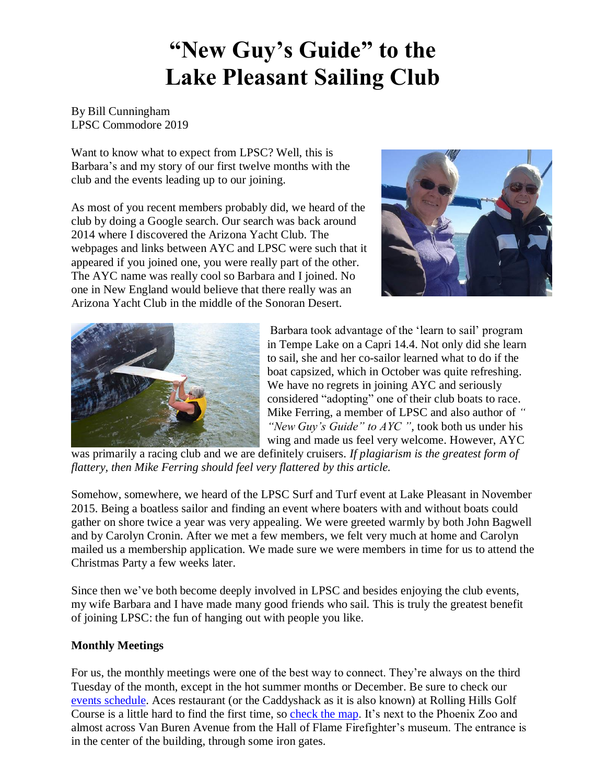# **"New Guy's Guide" to the Lake Pleasant Sailing Club**

By Bill Cunningham LPSC Commodore 2019

Want to know what to expect from LPSC? Well, this is Barbara's and my story of our first twelve months with the club and the events leading up to our joining.

As most of you recent members probably did, we heard of the club by doing a Google search. Our search was back around 2014 where I discovered the Arizona Yacht Club. The webpages and links between AYC and LPSC were such that it appeared if you joined one, you were really part of the other. The AYC name was really cool so Barbara and I joined. No one in New England would believe that there really was an Arizona Yacht Club in the middle of the Sonoran Desert.





Barbara took advantage of the 'learn to sail' program in Tempe Lake on a Capri 14.4. Not only did she learn to sail, she and her co-sailor learned what to do if the boat capsized, which in October was quite refreshing. We have no regrets in joining AYC and seriously considered "adopting" one of their club boats to race. Mike Ferring, a member of LPSC and also author of *" "New Guy's Guide" to AYC ",* took both us under his wing and made us feel very welcome. However, AYC

was primarily a racing club and we are definitely cruisers. *If plagiarism is the greatest form of flattery, then Mike Ferring should feel very flattered by this article.* 

Somehow, somewhere, we heard of the LPSC Surf and Turf event at Lake Pleasant in November 2015. Being a boatless sailor and finding an event where boaters with and without boats could gather on shore twice a year was very appealing. We were greeted warmly by both John Bagwell and by Carolyn Cronin. After we met a few members, we felt very much at home and Carolyn mailed us a membership application. We made sure we were members in time for us to attend the Christmas Party a few weeks later.

Since then we've both become deeply involved in LPSC and besides enjoying the club events, my wife Barbara and I have made many good friends who sail. This is truly the greatest benefit of joining LPSC: the fun of hanging out with people you like.

## **Monthly Meetings**

For us, the monthly meetings were one of the best way to connect. They're always on the third Tuesday of the month, except in the hot summer months or December. Be sure to check our [events schedule.](https://lakepleasantsailing.com/events) Aces restaurant (or the Caddyshack as it is also known) at Rolling Hills Golf Course is a little hard to find the first time, so [check the map.](http://www.mapquest.com/maps?address=1415+N+Mill+Ave&city=Tempe&state=AZ&zipcode=85281-1205&country=US&cid=lfmaplink2) It's next to the Phoenix Zoo and almost across Van Buren Avenue from the Hall of Flame Firefighter's museum. The entrance is in the center of the building, through some iron gates.